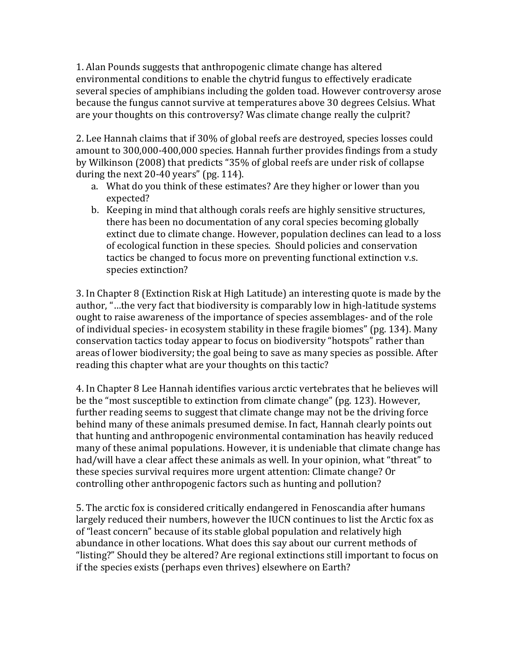1. Alan Pounds suggests that anthropogenic climate change has altered environmental conditions to enable the chytrid fungus to effectively eradicate several species of amphibians including the golden toad. However controversy arose because the fungus cannot survive at temperatures above 30 degrees Celsius. What are your thoughts on this controversy? Was climate change really the culprit?

2. Lee Hannah claims that if 30% of global reefs are destroyed, species losses could amount to 300,000-400,000 species. Hannah further provides findings from a study by Wilkinson (2008) that predicts "35% of global reefs are under risk of collapse during the next 20-40 years" (pg. 114).

- a. What do you think of these estimates? Are they higher or lower than you expected?
- b. Keeping in mind that although corals reefs are highly sensitive structures, there has been no documentation of any coral species becoming globally extinct due to climate change. However, population declines can lead to a loss of ecological function in these species. Should policies and conservation tactics be changed to focus more on preventing functional extinction v.s. species extinction?

3. In Chapter 8 (Extinction Risk at High Latitude) an interesting quote is made by the author, "…the very fact that biodiversity is comparably low in high-latitude systems ought to raise awareness of the importance of species assemblages- and of the role of individual species- in ecosystem stability in these fragile biomes" (pg. 134). Many conservation tactics today appear to focus on biodiversity "hotspots" rather than areas of lower biodiversity; the goal being to save as many species as possible. After reading this chapter what are your thoughts on this tactic?

4. In Chapter 8 Lee Hannah identifies various arctic vertebrates that he believes will be the "most susceptible to extinction from climate change" (pg. 123). However, further reading seems to suggest that climate change may not be the driving force behind many of these animals presumed demise. In fact, Hannah clearly points out that hunting and anthropogenic environmental contamination has heavily reduced many of these animal populations. However, it is undeniable that climate change has had/will have a clear affect these animals as well. In your opinion, what "threat" to these species survival requires more urgent attention: Climate change? Or controlling other anthropogenic factors such as hunting and pollution?

5. The arctic fox is considered critically endangered in Fenoscandia after humans largely reduced their numbers, however the IUCN continues to list the Arctic fox as of "least concern" because of its stable global population and relatively high abundance in other locations. What does this say about our current methods of "listing?" Should they be altered? Are regional extinctions still important to focus on if the species exists (perhaps even thrives) elsewhere on Earth?